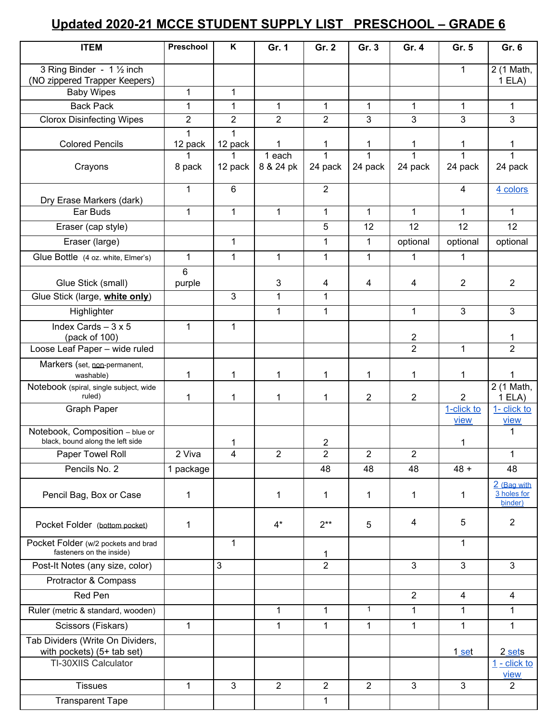## **Updated 2020-21 MCCE STUDENT SUPPLY LIST PRESCHOOL – GRADE 6**

| <b>ITEM</b>                                                         | Preschool      | K              | Gr. 1          | Gr. 2          | Gr. 3          | Gr. 4          | Gr. 5              | Gr. 6                  |
|---------------------------------------------------------------------|----------------|----------------|----------------|----------------|----------------|----------------|--------------------|------------------------|
| 3 Ring Binder - 1 1/2 inch                                          |                |                |                |                |                |                | 1                  | 2 (1 Math,             |
| (NO zippered Trapper Keepers)                                       |                |                |                |                |                |                |                    | 1ELA)                  |
| <b>Baby Wipes</b>                                                   | 1              | 1              |                |                |                |                |                    |                        |
| <b>Back Pack</b>                                                    | $\mathbf{1}$   | $\mathbf{1}$   | $\mathbf{1}$   | $\mathbf{1}$   | 1              | 1              | $\mathbf{1}$       | 1                      |
| <b>Clorox Disinfecting Wipes</b>                                    | $\overline{2}$ | $\overline{2}$ | $\overline{2}$ | $\overline{2}$ | 3              | 3              | 3                  | 3                      |
| <b>Colored Pencils</b>                                              | 1<br>12 pack   | 1<br>12 pack   |                | 1              | 1              | 1              | 1                  | 1                      |
|                                                                     | 1              | 1              | 1 each         |                | $\mathbf{1}$   |                | 1                  | 1                      |
| Crayons                                                             | 8 pack         | 12 pack        | 8 & 24 pk      | 24 pack        | 24 pack        | 24 pack        | 24 pack            | 24 pack                |
| Dry Erase Markers (dark)                                            | 1              | 6              |                | $\overline{2}$ |                |                | 4                  | 4 colors               |
| Ear Buds                                                            | 1              | 1              | $\mathbf{1}$   | 1              | 1              | 1              | $\mathbf{1}$       | 1                      |
| Eraser (cap style)                                                  |                |                |                | 5              | 12             | 12             | 12                 | 12                     |
| Eraser (large)                                                      |                | $\mathbf{1}$   |                | $\mathbf{1}$   | $\mathbf{1}$   | optional       | optional           | optional               |
| Glue Bottle (4 oz. white, Elmer's)                                  | 1              | $\mathbf{1}$   | $\mathbf{1}$   | $\mathbf{1}$   | $\mathbf{1}$   | 1              | 1                  |                        |
|                                                                     | 6              |                |                |                |                |                |                    |                        |
| Glue Stick (small)                                                  | purple         |                | 3              | 4              | 4              | 4              | $\overline{2}$     | $\overline{2}$         |
| Glue Stick (large, white only)                                      |                | 3              | $\mathbf{1}$   | $\mathbf{1}$   |                |                |                    |                        |
| Highlighter                                                         |                |                | $\mathbf{1}$   | $\mathbf{1}$   |                | 1              | 3                  | 3                      |
| Index Cards $-3 \times 5$<br>(pack of 100)                          | 1              | 1              |                |                |                | $\overline{c}$ |                    | 1                      |
| Loose Leaf Paper - wide ruled                                       |                |                |                |                |                | $\overline{2}$ | $\mathbf{1}$       | $\overline{2}$         |
| Markers (set, non-permanent,                                        |                |                |                |                |                |                |                    |                        |
| washable)                                                           | 1              | 1              | 1              | 1              | 1              | 1              | 1                  | 1                      |
| Notebook (spiral, single subject, wide<br>ruled)                    | 1              | 1              | 1              | 1              | $\overline{2}$ | $\overline{2}$ | $\overline{2}$     | 2 (1 Math,<br>1ELA)    |
| <b>Graph Paper</b>                                                  |                |                |                |                |                |                | 1-click to<br>view | 1- click to<br>view    |
| Notebook, Composition - blue or<br>black, bound along the left side |                | 1              |                | 2              |                |                | 1                  | 1                      |
| Paper Towel Roll                                                    | 2 Viva         | 4              | 2              | $\overline{2}$ | 2              | 2              |                    | 1                      |
| Pencils No. 2                                                       | 1 package      |                |                | 48             | 48             | 48             | $48 +$             | 48                     |
|                                                                     |                |                |                |                |                |                |                    | 2 (Bag with            |
| Pencil Bag, Box or Case                                             | 1              |                | 1              | 1              | 1              | 1              | 1                  | 3 holes for<br>binder) |
| Pocket Folder (bottom pocket)                                       | 1              |                | $4^*$          | $2**$          | 5              | 4              | 5                  | $\overline{2}$         |
| Pocket Folder (w/2 pockets and brad<br>fasteners on the inside)     |                | 1              |                | 1              |                |                | 1                  |                        |
| Post-It Notes (any size, color)                                     |                | 3              |                | $\overline{2}$ |                | 3              | 3                  | $\mathbf{3}$           |
| Protractor & Compass                                                |                |                |                |                |                |                |                    |                        |
| Red Pen                                                             |                |                |                |                |                | $\overline{2}$ | $\overline{4}$     | 4                      |
| Ruler (metric & standard, wooden)                                   |                |                | 1              | 1              | $\mathbf{1}$   | $\mathbf{1}$   | 1                  | 1                      |
| Scissors (Fiskars)                                                  | 1              |                | $\mathbf{1}$   | $\mathbf{1}$   | $\mathbf{1}$   | $\mathbf{1}$   | $\mathbf{1}$       | $\mathbf{1}$           |
| Tab Dividers (Write On Dividers,                                    |                |                |                |                |                |                |                    |                        |
| with pockets) (5+ tab set)                                          |                |                |                |                |                |                | 1 set              | 2 sets                 |
| TI-30XIIS Calculator                                                |                |                |                |                |                |                |                    | $1 - click to$<br>view |
| <b>Tissues</b>                                                      | 1              | 3              | $\overline{2}$ | $\overline{2}$ | $\overline{2}$ | 3              | 3                  | $\overline{2}$         |
| <b>Transparent Tape</b>                                             |                |                |                | $\mathbf 1$    |                |                |                    |                        |